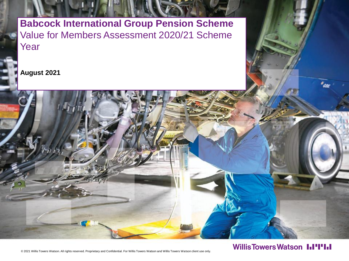**Babcock International Group Pension Scheme** Value for Members Assessment 2020/21 Scheme Year

**August 2021**



### **WillisTowersWatson I.I'I'I.I**

© 2021 Willis Towers Watson. All rights reserved. Proprietary and Confidential. For Willis Towers Watson and Willis Towers Watson client use only.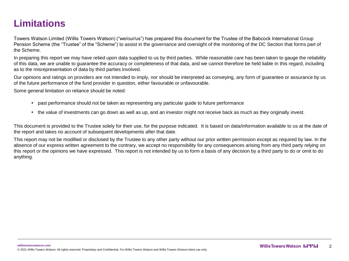## **Limitations**

Towers Watson Limited (Willis Towers Watson) ("we/our/us") has prepared this document for the Trustee of the Babcock International Group Pension Scheme (the "Trustee" of the "Scheme") to assist in the governance and oversight of the monitoring of the DC Section that forms part of the Scheme.

In preparing this report we may have relied upon data supplied to us by third parties. While reasonable care has been taken to gauge the reliability of this data, we are unable to guarantee the accuracy or completeness of that data, and we cannot therefore be held liable in this regard, including as to the misrepresentation of data by third parties involved.

Our opinions and ratings on providers are not intended to imply, nor should be interpreted as conveying, any form of guarantee or assurance by us of the future performance of the fund provider in question, either favourable or unfavourable.

Some general limitation on reliance should be noted:

- **past performance should not be taken as representing any particular guide to future performance**
- the value of investments can go down as well as up, and an investor might not receive back as much as they originally invest.

This document is provided to the Trustee solely for their use, for the purpose indicated. It is based on data/information available to us at the date of the report and takes no account of subsequent developments after that date.

This report may not be modified or disclosed by the Trustee to any other party without our prior written permission except as required by law. In the absence of our express written agreement to the contrary, we accept no responsibility for any consequences arising from any third party relying on this report or the opinions we have expressed. This report is not intended by us to form a basis of any decision by a third party to do or omit to do anything.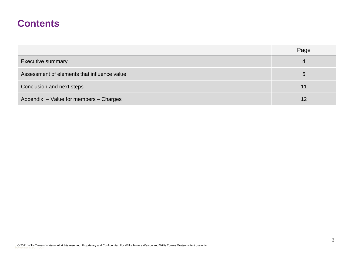### **Contents**

|                                             | Page |
|---------------------------------------------|------|
| <b>Executive summary</b>                    | 4    |
| Assessment of elements that influence value |      |
| Conclusion and next steps                   | 11   |
| Appendix - Value for members - Charges      | 12   |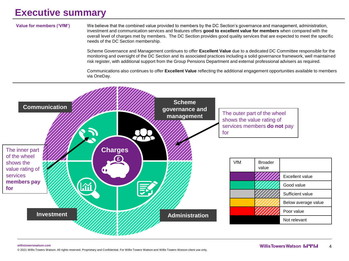### **Executive summary**

**Value for members ('VfM')** We believe that the combined value provided to members by the DC Section's governance and management, administration, investment and communication services and features offers **good to excellent value for members** when compared with the overall level of charges met by members. The DC Section provides good quality services that are expected to meet the specific needs of the DC Section membership.

> Scheme Governance and Management continues to offer **Excellent Value** due to a dedicated DC Committee responsible for the monitoring and oversight of the DC Section and its associated practices including a solid governance framework, well maintained risk register, with additional support from the Group Pensions Department and external professional advisers as required.

> Communications also continues to offer **Excellent Value** reflecting the additional engagement opportunities available to members via OneDay.

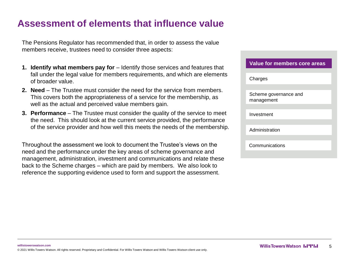### **Assessment of elements that influence value**

The Pensions Regulator has recommended that, in order to assess the value members receive, trustees need to consider three aspects:

- **1. Identify what members pay for**  Identify those services and features that fall under the legal value for members requirements, and which are elements of broader value.
- **2. Need** The Trustee must consider the need for the service from members. This covers both the appropriateness of a service for the membership, as well as the actual and perceived value members gain.
- **3. Performance** The Trustee must consider the quality of the service to meet the need. This should look at the current service provided, the performance of the service provider and how well this meets the needs of the membership.

Throughout the assessment we look to document the Trustee's views on the need and the performance under the key areas of scheme governance and management, administration, investment and communications and relate these back to the Scheme charges – which are paid by members. We also look to reference the supporting evidence used to form and support the assessment.

| Value for members core areas        |
|-------------------------------------|
| Charges                             |
|                                     |
| Scheme governance and<br>management |
|                                     |
| Investment                          |
|                                     |
| Administration                      |
|                                     |
| Communications                      |
|                                     |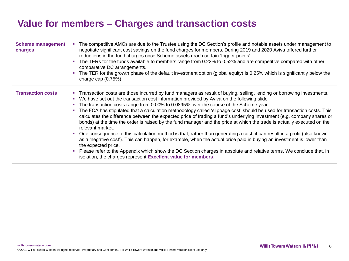### **Value for members – Charges and transaction costs**

| <b>Scheme management</b><br>charges | The competitive AMCs are due to the Trustee using the DC Section's profile and notable assets under management to<br>negotiate significant cost savings on the fund charges for members. During 2019 and 2020 Aviva offered further<br>reductions in the fund charges once Scheme assets reach certain 'trigger points'<br>• The TERs for the funds available to members range from 0.22% to 0.52% and are competitive compared with other<br>comparative DC arrangements.<br>The TER for the growth phase of the default investment option (global equity) is 0.25% which is significantly below the<br>charge cap $(0.75%)$ .                                                                                                                                                                                                                                                                                                                                                                                                                                                                                                                                                                               |
|-------------------------------------|---------------------------------------------------------------------------------------------------------------------------------------------------------------------------------------------------------------------------------------------------------------------------------------------------------------------------------------------------------------------------------------------------------------------------------------------------------------------------------------------------------------------------------------------------------------------------------------------------------------------------------------------------------------------------------------------------------------------------------------------------------------------------------------------------------------------------------------------------------------------------------------------------------------------------------------------------------------------------------------------------------------------------------------------------------------------------------------------------------------------------------------------------------------------------------------------------------------|
| <b>Transaction costs</b>            | • Transaction costs are those incurred by fund managers as result of buying, selling, lending or borrowing investments.<br>• We have set out the transaction cost information provided by Aviva on the following slide<br>The transaction costs range from 0.00% to 0.0895% over the course of the Scheme year<br>The FCA has stipulated that a calculation methodology called 'slippage cost' should be used for transaction costs. This<br>a.<br>calculates the difference between the expected price of trading a fund's underlying investment (e.g. company shares or<br>bonds) at the time the order is raised by the fund manager and the price at which the trade is actually executed on the<br>relevant market.<br>One consequence of this calculation method is that, rather than generating a cost, it can result in a profit (also known<br>and the<br>as a 'negative cost'). This can happen, for example, when the actual price paid in buying an investment is lower than<br>the expected price.<br>Please refer to the Appendix which show the DC Section charges in absolute and relative terms. We conclude that, in<br>a.<br>isolation, the charges represent Excellent value for members. |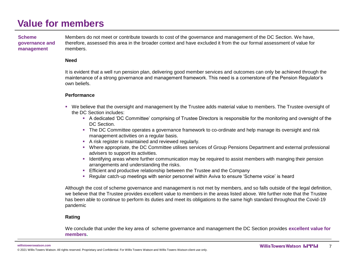**Scheme governance and management**

Members do not meet or contribute towards to cost of the governance and management of the DC Section. We have, therefore, assessed this area in the broader context and have excluded it from the our formal assessment of value for members.

#### **Need**

It is evident that a well run pension plan, delivering good member services and outcomes can only be achieved through the maintenance of a strong governance and management framework. This need is a cornerstone of the Pension Regulator's own beliefs.

#### **Performance**

- We believe that the oversight and management by the Trustee adds material value to members. The Trustee oversight of the DC Section includes:
	- A dedicated 'DC Committee' comprising of Trustee Directors is responsible for the monitoring and oversight of the DC Section.
	- **The DC Committee operates a governance framework to co-ordinate and help manage its oversight and risk** management activities on a regular basis.
	- A risk register is maintained and reviewed regularly.
	- Where appropriate, the DC Committee utilises services of Group Pensions Department and external professional advisers to support its activities.
	- Identifying areas where further communication may be required to assist members with manging their pension arrangements and understanding the risks.
	- **Efficient and productive relationship between the Trustee and the Company**
	- Regular catch-up meetings with senior personnel within Aviva to ensure 'Scheme voice' is heard

Although the cost of scheme governance and management is not met by members, and so falls outside of the legal definition, we believe that the Trustee provides excellent value to members in the areas listed above. We further note that the Trustee has been able to continue to perform its duties and meet its obligations to the same high standard throughout the Covid-19 pandemic

### **Rating**

We conclude that under the key area of scheme governance and management the DC Section provides **excellent value for members.**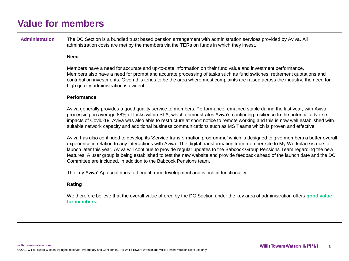**Administration** The DC Section is a bundled trust based pension arrangement with administration services provided by Aviva. All administration costs are met by the members via the TERs on funds in which they invest.

#### **Need**

Members have a need for accurate and up-to-date information on their fund value and investment performance. Members also have a need for prompt and accurate processing of tasks such as fund switches, retirement quotations and contribution investments. Given this tends to be the area where most complaints are raised across the industry, the need for high quality administration is evident.

### **Performance**

Aviva generally provides a good quality service to members. Performance remained stable during the last year, with Aviva processing on average 88% of tasks within SLA, which demonstrates Aviva's continuing resilience to the potential adverse impacts of Covid-19. Aviva was also able to restructure at short notice to remote working and this is now well established with suitable network capacity and additional business communications such as MS Teams which is proven and effective.

Aviva has also continued to develop its 'Service transformation programme' which is designed to give members a better overall experience in relation to any interactions with Aviva. The digital transformation from member-site to My Workplace is due to launch later this year. Aviva will continue to provide regular updates to the Babcock Group Pensions Team regarding the new features. A user group is being established to test the new website and provide feedback ahead of the launch date and the DC Committee are included, in addition to the Babcock Pensions team.

The 'my Aviva' App continues to benefit from development and is rich in functionality..

### **Rating**

We therefore believe that the overall value offered by the DC Section under the key area of administration offers **good value for members.**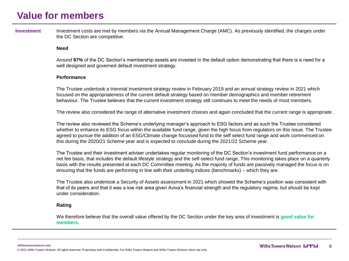Investment Investment costs are met by members via the Annual Management Charge (AMC). As previously identified, the charges under the DC Section are competitive.

#### **Need**

Around **97%** of the DC Section's membership assets are invested in the default option demonstrating that there is a need for a well designed and governed default investment strategy.

#### **Performance**

The Trustee undertook a triennial investment strategy review in February 2019 and an annual strategy review in 2021 which focused on the appropriateness of the current default strategy based on member demographics and member retirement behaviour. The Trustee believes that the current investment strategy still continues to meet the needs of most members.

The review also considered the range of alternative investment choices and again concluded that the current range is appropriate.

The review also reviewed the Scheme's underlying manager's approach to ESG factors and as such the Trustee considered whether to enhance its ESG focus within the available fund range, given the high focus from regulators on this issue. The Trustee agreed to pursue the addition of an ESG/Climate change focussed fund to the self select fund range and work commenced on this during the 2020/21 Scheme year and is expected to conclude during the 2021/22 Scheme year.

The Trustee and their investment adviser undertakes regular monitoring of the DC Section's investment fund performance on a net fee basis, that includes the default lifestyle strategy and the self-select fund range. This monitoring takes place on a quarterly basis with the results presented at each DC Committee meeting. As the majority of funds are passively managed the focus is on ensuring that the funds are performing in line with their underling indices (benchmarks) – which they are.

The Trustee also undertook a Security of Assets assessment in 2021 which showed the Scheme's position was consistent with that of its peers and that it was a low risk area given Aviva's financial strength and the regulatory regime, but should be kept under consideration.

#### **Rating**

We therefore believe that the overall value offered by the DC Section under the key area of investment is **good value for members.**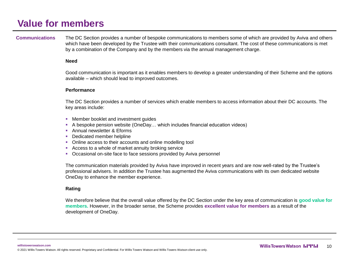**Communications** The DC Section provides a number of bespoke communications to members some of which are provided by Aviva and others which have been developed by the Trustee with their communications consultant. The cost of these communications is met by a combination of the Company and by the members via the annual management charge.

#### **Need**

Good communication is important as it enables members to develop a greater understanding of their Scheme and the options available – which should lead to improved outcomes.

#### **Performance**

The DC Section provides a number of services which enable members to access information about their DC accounts. The key areas include:

- Member booklet and investment guides
- A bespoke pension website (OneDay... which includes financial education videos)
- Annual newsletter & Eforms
- Dedicated member helpline
- Online access to their accounts and online modelling tool
- Access to a whole of market annuity broking service
- Occasional on-site face to face sessions provided by Aviva personnel

The communication materials provided by Aviva have improved in recent years and are now well-rated by the Trustee's professional advisers. In addition the Trustee has augmented the Aviva communications with its own dedicated website OneDay to enhance the member experience.

### **Rating**

We therefore believe that the overall value offered by the DC Section under the key area of communication is **good value for members.** However, in the broader sense, the Scheme provides **excellent value for members** as a result of the development of OneDay.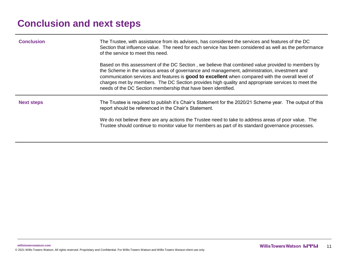# **Conclusion and next steps**

| The Trustee, with assistance from its advisers, has considered the services and features of the DC<br>Section that influence value. The need for each service has been considered as well as the performance<br>of the service to meet this need.                                                                                                                                                                                                                           |
|-----------------------------------------------------------------------------------------------------------------------------------------------------------------------------------------------------------------------------------------------------------------------------------------------------------------------------------------------------------------------------------------------------------------------------------------------------------------------------|
| Based on this assessment of the DC Section, we believe that combined value provided to members by<br>the Scheme in the various areas of governance and management, administration, investment and<br>communication services and features is good to excellent when compared with the overall level of<br>charges met by members. The DC Section provides high quality and appropriate services to meet the<br>needs of the DC Section membership that have been identified. |
| The Trustee is required to publish it's Chair's Statement for the 2020/21 Scheme year. The output of this<br>report should be referenced in the Chair's Statement.                                                                                                                                                                                                                                                                                                          |
| We do not believe there are any actions the Trustee need to take to address areas of poor value. The<br>Trustee should continue to monitor value for members as part of its standard governance processes.                                                                                                                                                                                                                                                                  |
|                                                                                                                                                                                                                                                                                                                                                                                                                                                                             |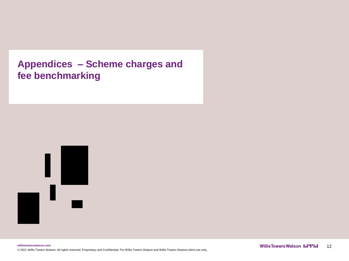### **Appendices – Scheme charges and fee benchmarking**

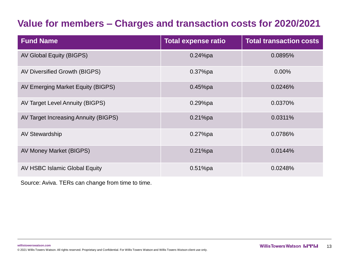## **Value for members – Charges and transaction costs for 2020/2021**

| <b>Fund Name</b>                     | <b>Total expense ratio</b> | <b>Total transaction costs</b> |
|--------------------------------------|----------------------------|--------------------------------|
| AV Global Equity (BIGPS)             | $0.24\%$ pa                | 0.0895%                        |
| AV Diversified Growth (BIGPS)        | $0.37%$ pa                 | 0.00%                          |
| AV Emerging Market Equity (BIGPS)    | $0.45%$ pa                 | 0.0246%                        |
| AV Target Level Annuity (BIGPS)      | $0.29%$ pa                 | 0.0370%                        |
| AV Target Increasing Annuity (BIGPS) | $0.21%$ pa                 | 0.0311%                        |
| AV Stewardship                       | $0.27%$ pa                 | 0.0786%                        |
| AV Money Market (BIGPS)              | $0.21%$ pa                 | 0.0144%                        |
| AV HSBC Islamic Global Equity        | $0.51%$ pa                 | 0.0248%                        |

Source: Aviva. TERs can change from time to time.